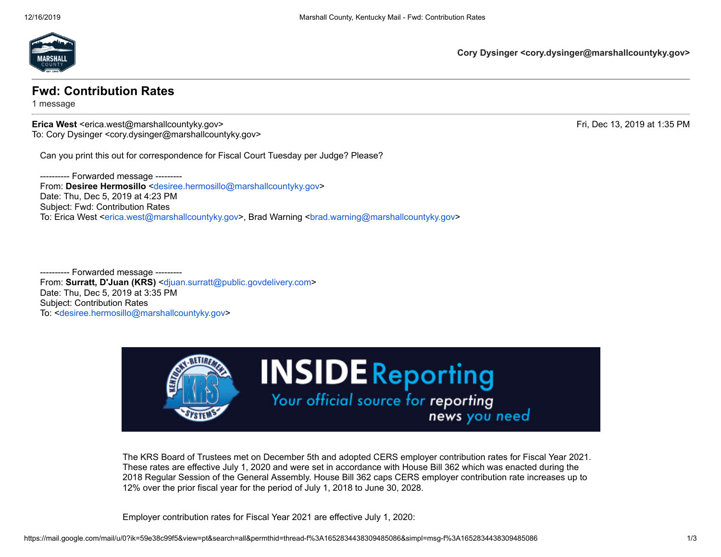

**Cory Dysinger <cory.dysinger@marshallcountyky.gov>**

## **Fwd: Contribution Rates**

1 message

**Erica West** <erica.west@marshallcountyky.gov> Fri, Dec 13, 2019 at 1:35 PM To: Cory Dysinger <cory.dysinger@marshallcountyky.gov>

Can you print this out for correspondence for Fiscal Court Tuesday per Judge? Please?

---------- Forwarded message --------- From: **Desiree Hermosillo** <[desiree.hermosillo@marshallcountyky.gov>](mailto:desiree.hermosillo@marshallcountyky.gov) Date: Thu, Dec 5, 2019 at 4:23 PM Subject: Fwd: Contribution Rates To: Erica West [<erica.west@marshallcountyky.gov>](mailto:erica.west@marshallcountyky.gov), Brad Warning <br/>
stad.warning@marshallcountyky.gov>

--- Forwarded message ---------From: **Surratt, D'Juan (KRS)** <[djuan.surratt@public.govdelivery.com>](mailto:djuan.surratt@public.govdelivery.com) Date: Thu, Dec 5, 2019 at 3:35 PM Subject: Contribution Rates To: <[desiree.hermosillo@marshallcountyky.gov](mailto:desiree.hermosillo@marshallcountyky.gov)>



The KRS Board of Trustees met on December 5th and adopted CERS employer contribution rates for Fiscal Year 2021. These rates are effective July 1, 2020 and were set in accordance with House Bill 362 which was enacted during the 2018 Regular Session of the General Assembly. House Bill 362 caps CERS employer contribution rate increases up to 12% over the prior fiscal year for the period of July 1, 2018 to June 30, 2028.

Employer contribution rates for Fiscal Year 2021 are effective July 1, 2020: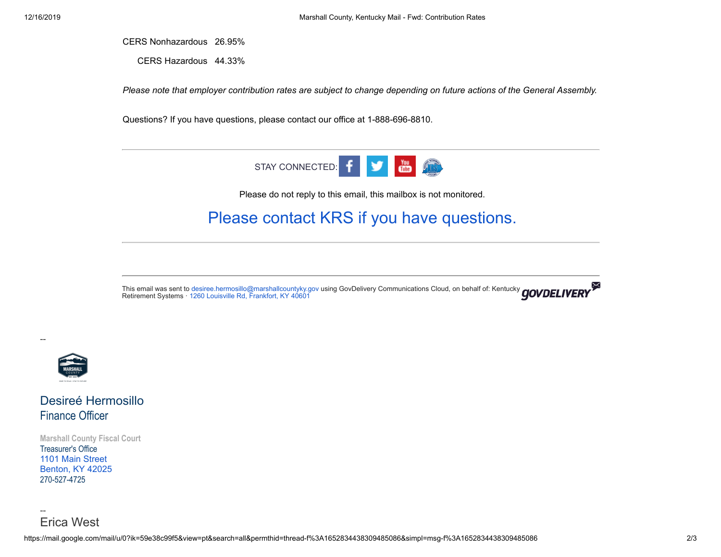CERS Nonhazardous 26.95%

CERS Hazardous 44.33%

*Please note that employer contribution rates are subject to change depending on future actions of the General Assembly.*

Questions? If you have questions, please contact our office at 1-888-696-8810.



Please do not reply to this email, this mailbox is not monitored.

## [Please contact KRS if you have questions.](https://lnks.gd/l/eyJhbGciOiJIUzI1NiJ9.eyJidWxsZXRpbl9saW5rX2lkIjoxMDQsInVyaSI6ImJwMjpjbGljayIsImJ1bGxldGluX2lkIjoiMjAxOTEyMDUuMTM5MjEyMzEiLCJ1cmwiOiJodHRwczovL2t5cmV0Lmt5Lmdvdi9FbXBsb3llcnMvUmVzb3VyY2VzL1BhZ2VzL0VSQ0UtQ29udGFjdHMuYXNweCJ9.VXLF9l7f8JTrlnUdxchYFLJuBVMNfsxmvjHDEvBSWr4/br/72378744222-l)

This email was sent to [desiree.hermosillo@marshallcountyky.gov](mailto:desiree.hermosillo@marshallcountyky.gov) using GovDelivery Communications Cloud, on behalf of: Kentucky Retirement Systems · [1260 Louisville Rd, Frankfort, KY 40601](https://www.google.com/maps/search/1260+Louisville+Rd,+Frankfort,+KY+40601?entry=gmail&source=g)



--

--

Erica West

Desireé Hermosillo Finance Officer

**Marshall County Fiscal Court** Treasurer's Office [1101 Main Street](https://www.google.com/maps/search/1101+Main+Street+Benton,+KY+42025?entry=gmail&source=g) [Benton, KY 42025](https://www.google.com/maps/search/1101+Main+Street+Benton,+KY+42025?entry=gmail&source=g) 270-527-4725